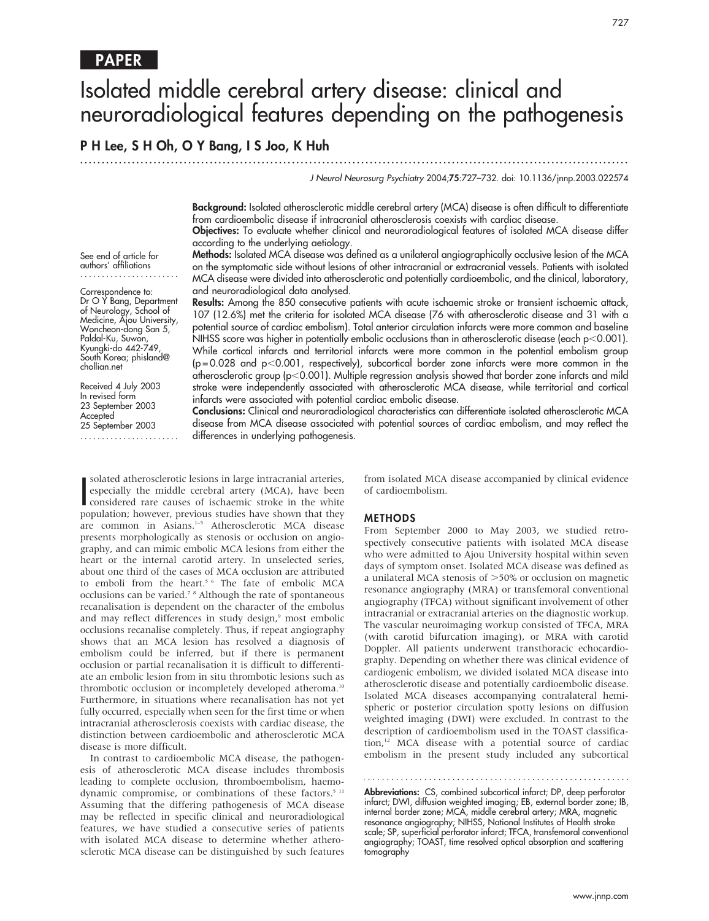# Isolated middle cerebral artery disease: clinical and neuroradiological features depending on the pathogenesis

# P H Lee, S H Oh, O Y Bang, I S Joo, K Huh

.............................................................................................................................. .

J Neurol Neurosurg Psychiatry 2004;75:727–732. doi: 10.1136/jnnp.2003.022574

Background: Isolated atherosclerotic middle cerebral artery (MCA) disease is often difficult to differentiate from cardioembolic disease if intracranial atherosclerosis coexists with cardiac disease.

Objectives: To evaluate whether clinical and neuroradiological features of isolated MCA disease differ according to the underlying aetiology.

See end of article for authors' affiliations .......................

Correspondence to: Dr O Y Bang, Department of Neurology, School of Medicine, Ajou University, Woncheon-dong San 5, Paldal-Ku, Suwon, Kyungki-do 442-749, South Korea; phisland@ chollian.net

Received 4 July 2003 In revised form 23 September 2003 **Accepted** 25 September 2003 .......................

Methods: Isolated MCA disease was defined as a unilateral angiographically occlusive lesion of the MCA on the symptomatic side without lesions of other intracranial or extracranial vessels. Patients with isolated MCA disease were divided into atherosclerotic and potentially cardioembolic, and the clinical, laboratory, and neuroradiological data analysed.

Results: Among the 850 consecutive patients with acute ischaemic stroke or transient ischaemic attack, 107 (12.6%) met the criteria for isolated MCA disease (76 with atherosclerotic disease and 31 with a potential source of cardiac embolism). Total anterior circulation infarcts were more common and baseline NIHSS score was higher in potentially embolic occlusions than in atherosclerotic disease (each  $p$ <0.001). While cortical infarcts and territorial infarcts were more common in the potential embolism group  $(p=0.028$  and  $p<0.001$ , respectively), subcortical border zone infarcts were more common in the  $a$ therosclerotic group (p<0.001). Multiple regression analysis showed that border zone infarcts and mild stroke were independently associated with atherosclerotic MCA disease, while territorial and cortical infarcts were associated with potential cardiac embolic disease.

Conclusions: Clinical and neuroradiological characteristics can differentiate isolated atherosclerotic MCA disease from MCA disease associated with potential sources of cardiac embolism, and may reflect the differences in underlying pathogenesis.

Solated atheroscierotic lesions in large intracramal arteries,<br>especially the middle cerebral artery (MCA), have been<br>considered rare causes of ischaemic stroke in the white<br>population: have are a sensure that the white solated atherosclerotic lesions in large intracranial arteries, especially the middle cerebral artery (MCA), have been population; however, previous studies have shown that they are common in Asians.<sup>1-5</sup> Atherosclerotic MCA disease presents morphologically as stenosis or occlusion on angiography, and can mimic embolic MCA lesions from either the heart or the internal carotid artery. In unselected series, about one third of the cases of MCA occlusion are attributed to emboli from the heart.<sup>5 6</sup> The fate of embolic MCA occlusions can be varied.7 8 Although the rate of spontaneous recanalisation is dependent on the character of the embolus and may reflect differences in study design,<sup>9</sup> most embolic occlusions recanalise completely. Thus, if repeat angiography shows that an MCA lesion has resolved a diagnosis of embolism could be inferred, but if there is permanent occlusion or partial recanalisation it is difficult to differentiate an embolic lesion from in situ thrombotic lesions such as thrombotic occlusion or incompletely developed atheroma.<sup>10</sup> Furthermore, in situations where recanalisation has not yet fully occurred, especially when seen for the first time or when intracranial atherosclerosis coexists with cardiac disease, the distinction between cardioembolic and atherosclerotic MCA disease is more difficult.

In contrast to cardioembolic MCA disease, the pathogenesis of atherosclerotic MCA disease includes thrombosis leading to complete occlusion, thromboembolism, haemodynamic compromise, or combinations of these factors.<sup>5 11</sup> Assuming that the differing pathogenesis of MCA disease may be reflected in specific clinical and neuroradiological features, we have studied a consecutive series of patients with isolated MCA disease to determine whether atherosclerotic MCA disease can be distinguished by such features from isolated MCA disease accompanied by clinical evidence of cardioembolism.

# METHODS

From September 2000 to May 2003, we studied retrospectively consecutive patients with isolated MCA disease who were admitted to Ajou University hospital within seven days of symptom onset. Isolated MCA disease was defined as a unilateral MCA stenosis of  $>50\%$  or occlusion on magnetic resonance angiography (MRA) or transfemoral conventional angiography (TFCA) without significant involvement of other intracranial or extracranial arteries on the diagnostic workup. The vascular neuroimaging workup consisted of TFCA, MRA (with carotid bifurcation imaging), or MRA with carotid Doppler. All patients underwent transthoracic echocardiography. Depending on whether there was clinical evidence of cardiogenic embolism, we divided isolated MCA disease into atherosclerotic disease and potentially cardioembolic disease. Isolated MCA diseases accompanying contralateral hemispheric or posterior circulation spotty lesions on diffusion weighted imaging (DWI) were excluded. In contrast to the description of cardioembolism used in the TOAST classification,<sup>12</sup> MCA disease with a potential source of cardiac embolism in the present study included any subcortical

Abbreviations: CS, combined subcortical infarct; DP, deep perforator infarct; DWI, diffusion weighted imaging; EB, external border zone; IB, internal border zone; MCA, middle cerebral artery; MRA, magnetic resonance angiography; NIHSS, National Institutes of Health stroke scale; SP, superficial perforator infarct; TFCA, transfemoral conventional angiography; TOAST, time resolved optical absorption and scattering tomography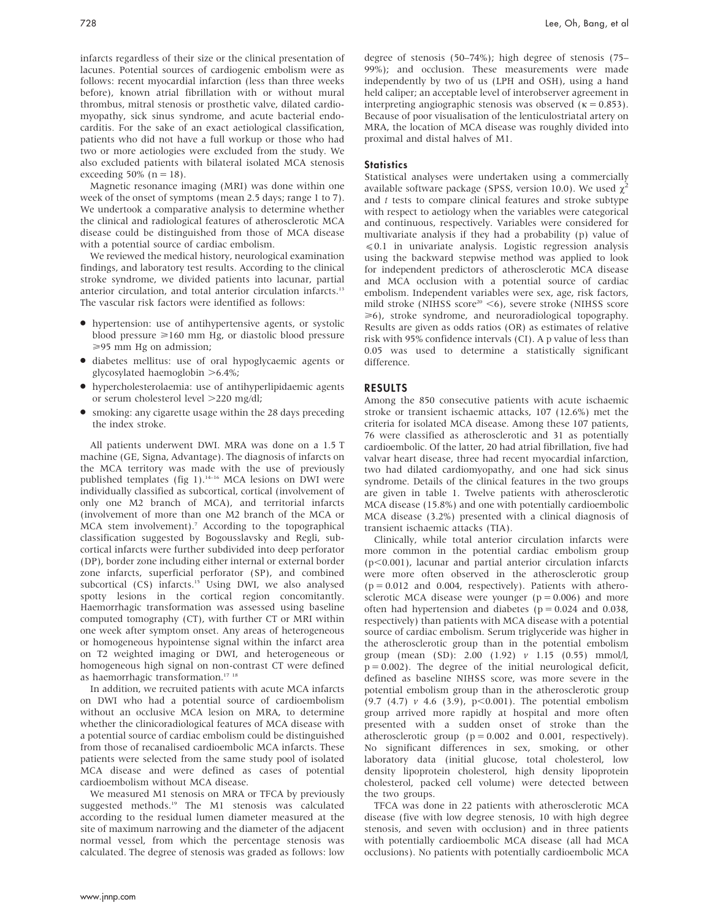infarcts regardless of their size or the clinical presentation of lacunes. Potential sources of cardiogenic embolism were as follows: recent myocardial infarction (less than three weeks before), known atrial fibrillation with or without mural thrombus, mitral stenosis or prosthetic valve, dilated cardiomyopathy, sick sinus syndrome, and acute bacterial endocarditis. For the sake of an exact aetiological classification, patients who did not have a full workup or those who had two or more aetiologies were excluded from the study. We also excluded patients with bilateral isolated MCA stenosis exceeding  $50\%$  (n = 18).

Magnetic resonance imaging (MRI) was done within one week of the onset of symptoms (mean 2.5 days; range 1 to 7). We undertook a comparative analysis to determine whether the clinical and radiological features of atherosclerotic MCA disease could be distinguished from those of MCA disease with a potential source of cardiac embolism.

We reviewed the medical history, neurological examination findings, and laboratory test results. According to the clinical stroke syndrome, we divided patients into lacunar, partial anterior circulation, and total anterior circulation infarcts.<sup>13</sup> The vascular risk factors were identified as follows:

- N hypertension: use of antihypertensive agents, or systolic blood pressure >160 mm Hg, or diastolic blood pressure  $\geq$ 95 mm Hg on admission;
- N diabetes mellitus: use of oral hypoglycaemic agents or glycosylated haemoglobin  $>6.4\%$ ;
- $\bullet$  hypercholesterolaemia: use of antihyperlipidaemic agents or serum cholesterol level >220 mg/dl;
- smoking: any cigarette usage within the 28 days preceding the index stroke.

All patients underwent DWI. MRA was done on a 1.5 T machine (GE, Signa, Advantage). The diagnosis of infarcts on the MCA territory was made with the use of previously published templates (fig 1).<sup>14-16</sup> MCA lesions on DWI were individually classified as subcortical, cortical (involvement of only one M2 branch of MCA), and territorial infarcts (involvement of more than one M2 branch of the MCA or MCA stem involvement).7 According to the topographical classification suggested by Bogousslavsky and Regli, subcortical infarcts were further subdivided into deep perforator (DP), border zone including either internal or external border zone infarcts, superficial perforator (SP), and combined subcortical (CS) infarcts.<sup>15</sup> Using DWI, we also analysed spotty lesions in the cortical region concomitantly. Haemorrhagic transformation was assessed using baseline computed tomography (CT), with further CT or MRI within one week after symptom onset. Any areas of heterogeneous or homogeneous hypointense signal within the infarct area on T2 weighted imaging or DWI, and heterogeneous or homogeneous high signal on non-contrast CT were defined as haemorrhagic transformation.<sup>17 18</sup>

In addition, we recruited patients with acute MCA infarcts on DWI who had a potential source of cardioembolism without an occlusive MCA lesion on MRA, to determine whether the clinicoradiological features of MCA disease with a potential source of cardiac embolism could be distinguished from those of recanalised cardioembolic MCA infarcts. These patients were selected from the same study pool of isolated MCA disease and were defined as cases of potential cardioembolism without MCA disease.

We measured M1 stenosis on MRA or TFCA by previously suggested methods.19 The M1 stenosis was calculated according to the residual lumen diameter measured at the site of maximum narrowing and the diameter of the adjacent normal vessel, from which the percentage stenosis was calculated. The degree of stenosis was graded as follows: low degree of stenosis (50–74%); high degree of stenosis (75– 99%); and occlusion. These measurements were made independently by two of us (LPH and OSH), using a hand held caliper; an acceptable level of interobserver agreement in interpreting angiographic stenosis was observed ( $\kappa = 0.853$ ). Because of poor visualisation of the lenticulostriatal artery on MRA, the location of MCA disease was roughly divided into proximal and distal halves of M1.

# **Statistics**

Statistical analyses were undertaken using a commercially available software package (SPSS, version 10.0). We used  $\chi^2$ and t tests to compare clinical features and stroke subtype with respect to aetiology when the variables were categorical and continuous, respectively. Variables were considered for multivariate analysis if they had a probability (p) value of  $\leq 0.1$  in univariate analysis. Logistic regression analysis using the backward stepwise method was applied to look for independent predictors of atherosclerotic MCA disease and MCA occlusion with a potential source of cardiac embolism. Independent variables were sex, age, risk factors, mild stroke (NIHSS score<sup>20</sup>  $\leq$ 6), severe stroke (NIHSS score  $\geq 6$ ), stroke syndrome, and neuroradiological topography. Results are given as odds ratios (OR) as estimates of relative risk with 95% confidence intervals (CI). A p value of less than 0.05 was used to determine a statistically significant difference.

# RESULTS

Among the 850 consecutive patients with acute ischaemic stroke or transient ischaemic attacks, 107 (12.6%) met the criteria for isolated MCA disease. Among these 107 patients, 76 were classified as atherosclerotic and 31 as potentially cardioembolic. Of the latter, 20 had atrial fibrillation, five had valvar heart disease, three had recent myocardial infarction, two had dilated cardiomyopathy, and one had sick sinus syndrome. Details of the clinical features in the two groups are given in table 1. Twelve patients with atherosclerotic MCA disease (15.8%) and one with potentially cardioembolic MCA disease (3.2%) presented with a clinical diagnosis of transient ischaemic attacks (TIA).

Clinically, while total anterior circulation infarcts were more common in the potential cardiac embolism group  $(p<0.001)$ , lacunar and partial anterior circulation infarcts were more often observed in the atherosclerotic group  $(p = 0.012$  and 0.004, respectively). Patients with atherosclerotic MCA disease were younger ( $p = 0.006$ ) and more often had hypertension and diabetes ( $p = 0.024$  and 0.038, respectively) than patients with MCA disease with a potential source of cardiac embolism. Serum triglyceride was higher in the atherosclerotic group than in the potential embolism group (mean (SD): 2.00 (1.92) v 1.15 (0.55) mmol/l,  $p = 0.002$ ). The degree of the initial neurological deficit, defined as baseline NIHSS score, was more severe in the potential embolism group than in the atherosclerotic group  $(9.7 \ (4.7) \ v \ 4.6 \ (3.9), \ p < 0.001)$ . The potential embolism group arrived more rapidly at hospital and more often presented with a sudden onset of stroke than the atherosclerotic group  $(p = 0.002$  and 0.001, respectively). No significant differences in sex, smoking, or other laboratory data (initial glucose, total cholesterol, low density lipoprotein cholesterol, high density lipoprotein cholesterol, packed cell volume) were detected between the two groups.

TFCA was done in 22 patients with atherosclerotic MCA disease (five with low degree stenosis, 10 with high degree stenosis, and seven with occlusion) and in three patients with potentially cardioembolic MCA disease (all had MCA occlusions). No patients with potentially cardioembolic MCA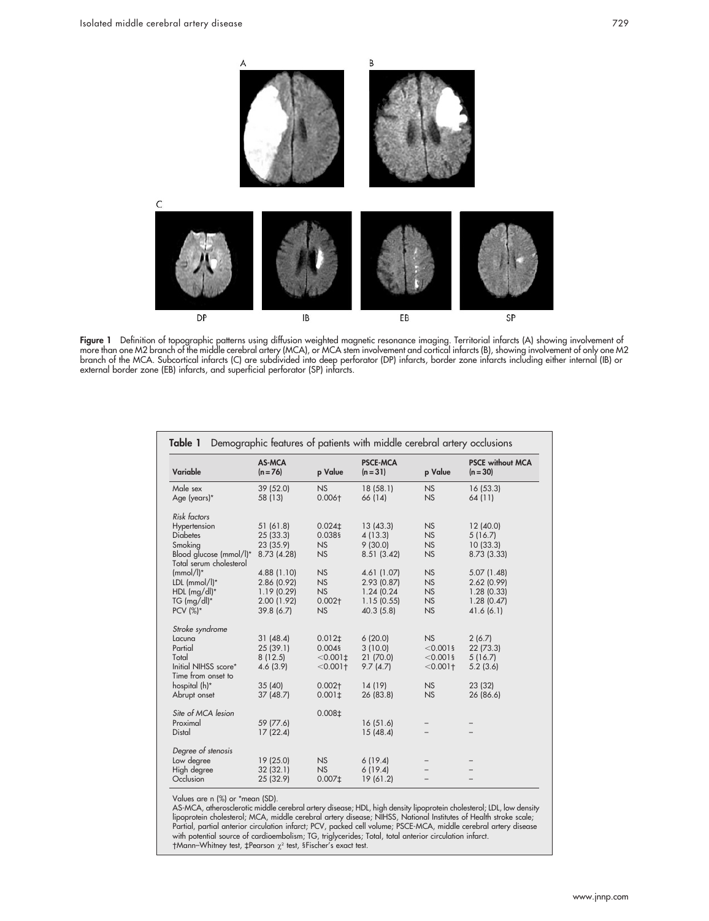

Figure 1 Definition of topographic patterns using diffusion weighted magnetic resonance imaging. Territorial infarcts (A) showing involvement of more than one M2 branch of the middle cerebral artery (MCA), or MCA stem involvement and cortical infarcts (B), showing involvement of only one M2 branch of the MCA. Subcortical infarcts (C) are subdivided into deep perforator (DP) infarcts, border zone infarcts including either internal (IB) or external border zone (EB) infarcts, and superficial perforator (SP) infarcts.

| Table 1<br>Demographic features of patients with middle cerebral artery occlusions                               |                                                                       |                                                        |                                                                      |                                                  |                                                                    |  |
|------------------------------------------------------------------------------------------------------------------|-----------------------------------------------------------------------|--------------------------------------------------------|----------------------------------------------------------------------|--------------------------------------------------|--------------------------------------------------------------------|--|
| Variable                                                                                                         | <b>AS-MCA</b><br>$(n = 76)$                                           | p Value                                                | <b>PSCE-MCA</b><br>$(n = 31)$                                        | p Value                                          | <b>PSCE without MCA</b><br>$(n = 30)$                              |  |
| Male sex<br>Age (years)*                                                                                         | 39 (52.0)<br>58 (13)                                                  | NS<br>0.006 <sub>†</sub>                               | 18 (58.1)<br>66 (14)                                                 | <b>NS</b><br><b>NS</b>                           | 16 (53.3)<br>64 (11)                                               |  |
| Risk factors<br>Hypertension<br><b>Diabetes</b><br>Smoking<br>Blood glucose (mmol/l)*<br>Total serum cholesterol | 51(61.8)<br>25(33.3)<br>23 (35.9)<br>8.73 (4.28)                      | 0.024<br>0.038§<br><b>NS</b><br><b>NS</b>              | 13(43.3)<br>4(13.3)<br>9(30.0)<br>8.51(3.42)                         | <b>NS</b><br><b>NS</b><br><b>NS</b><br><b>NS</b> | 12(40.0)<br>5(16.7)<br>10(33.3)<br>8.73 (3.33)                     |  |
| $(mmol/l)^*$<br>LDL $(mmol/l)^*$<br>HDL $(mg/d!)^*$<br>TG ( $mg/dl$ )*<br>PCV (%)*                               | 4.88 (1.10)<br>2.86 (0.92)<br>1.19(0.29)<br>2.00 (1.92)<br>39.8 (6.7) | <b>NS</b><br>NS<br>NS<br>$0.002+$<br><b>NS</b>         | 4.61 (1.07)<br>2.93(0.87)<br>1.24 (0.24)<br>1.15(0.55)<br>40.3 (5.8) | <b>NS</b><br>NS<br><b>NS</b><br>NS<br><b>NS</b>  | 5.07 (1.48)<br>2.62(0.99)<br>1.28(0.33)<br>1.28(0.47)<br>41.6(6.1) |  |
| Stroke syndrome<br>Lacuna<br>Partial<br>Total<br>Initial NIHSS score*<br>Time from onset to                      | 31(48.4)<br>25(39.1)<br>8(12.5)<br>4.6(3.9)                           | $0.012$ ‡<br>$0.004$ §<br>$< 0.001 \pm$<br>$< 0.001 +$ | 6(20.0)<br>3(10.0)<br>21(70.0)<br>9.7(4.7)                           | NS<br>$<$ 0.001§<br>$<$ 0.001§<br>$< 0.001 +$    | 2(6.7)<br>22 (73.3)<br>5(16.7)<br>5.2(3.6)                         |  |
| hospital (h)*<br>Abrupt onset                                                                                    | 35(40)<br>37(48.7)                                                    | $0.002+$<br>$0.001$ ±                                  | 14(19)<br>26 (83.8)                                                  | <b>NS</b><br><b>NS</b>                           | 23 (32)<br>26 (86.6)                                               |  |
| Site of MCA lesion<br>Proximal<br><b>Distal</b>                                                                  | 59 (77.6)<br>17(22.4)                                                 | 0.008 <sub>‡</sub>                                     | 16(51.6)<br>15(48.4)                                                 |                                                  |                                                                    |  |
| Degree of stenosis<br>Low degree<br>High degree<br>Occlusion                                                     | 19 (25.0)<br>32 (32.1)<br>25 (32.9)                                   | NS<br><b>NS</b><br>0.007 <sub>‡</sub>                  | 6(19.4)<br>6(19.4)<br>19 (61.2)                                      |                                                  |                                                                    |  |

Values are n (%) or \*mean (SD).

AS-MCA, atherosclerotic middle cerebral artery disease; HDL, high density lipoprotein cholesterol; LDL, low density lipoprotein cholesterol; MCA, middle cerebral artery disease; NIHSS, National Institutes of Health stroke scale; Partial, partial anterior circulation infarct; PCV, packed cell volume; PSCE-MCA, middle cerebral artery disease with potential source of cardioembolism; TG, triglycerides; Total, total anterior circulation infarct.<br>†Mann–Whitney test, ‡Pearson x² test, §Fischer's exact test.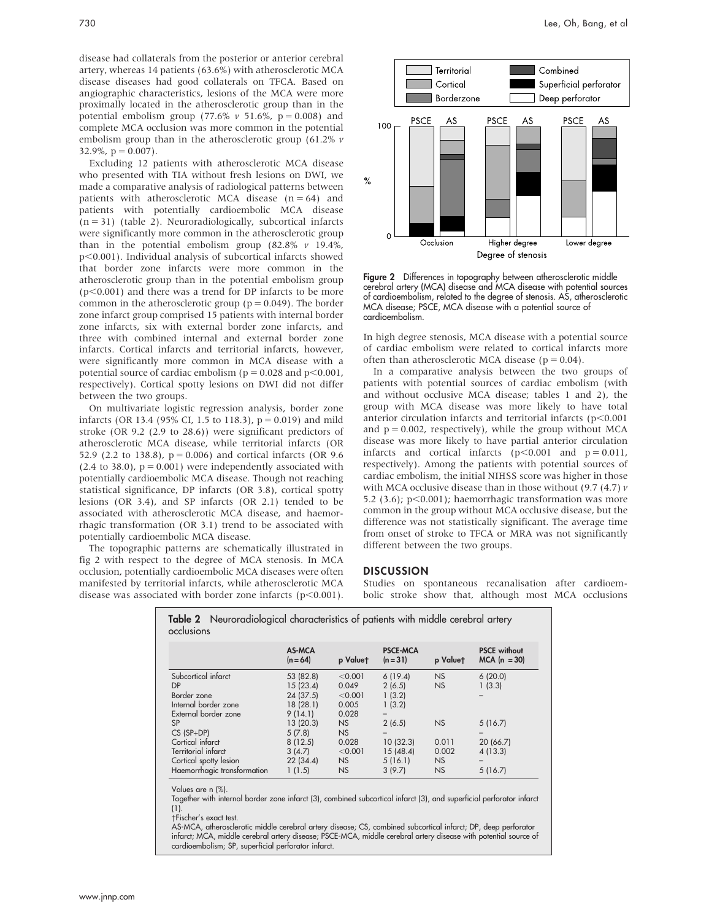disease had collaterals from the posterior or anterior cerebral artery, whereas 14 patients (63.6%) with atherosclerotic MCA disease diseases had good collaterals on TFCA. Based on angiographic characteristics, lesions of the MCA were more proximally located in the atherosclerotic group than in the potential embolism group (77.6%  $\nu$  51.6%, p = 0.008) and complete MCA occlusion was more common in the potential embolism group than in the atherosclerotic group (61.2%  $\nu$  $32.9\%$ ,  $p = 0.007$ ).

Excluding 12 patients with atherosclerotic MCA disease who presented with TIA without fresh lesions on DWI, we made a comparative analysis of radiological patterns between patients with atherosclerotic MCA disease  $(n = 64)$  and patients with potentially cardioembolic MCA disease  $(n = 31)$  (table 2). Neuroradiologically, subcortical infarcts were significantly more common in the atherosclerotic group than in the potential embolism group  $(82.8\% \text{ } v \text{ } 19.4\%$ ,  $p<0.001$ ). Individual analysis of subcortical infarcts showed that border zone infarcts were more common in the atherosclerotic group than in the potential embolism group  $(p<0.001)$  and there was a trend for DP infarcts to be more common in the atherosclerotic group ( $p = 0.049$ ). The border zone infarct group comprised 15 patients with internal border zone infarcts, six with external border zone infarcts, and three with combined internal and external border zone infarcts. Cortical infarcts and territorial infarcts, however, were significantly more common in MCA disease with a potential source of cardiac embolism ( $p = 0.028$  and  $p \le 0.001$ , respectively). Cortical spotty lesions on DWI did not differ between the two groups.

On multivariate logistic regression analysis, border zone infarcts (OR 13.4 (95% CI, 1.5 to 118.3),  $p = 0.019$ ) and mild stroke (OR 9.2 (2.9 to 28.6)) were significant predictors of atherosclerotic MCA disease, while territorial infarcts (OR 52.9 (2.2 to 138.8),  $p = 0.006$ ) and cortical infarcts (OR 9.6  $(2.4 \text{ to } 38.0)$ ,  $p = 0.001$ ) were independently associated with potentially cardioembolic MCA disease. Though not reaching statistical significance, DP infarcts (OR 3.8), cortical spotty lesions (OR 3.4), and SP infarcts (OR 2.1) tended to be associated with atherosclerotic MCA disease, and haemorrhagic transformation (OR 3.1) trend to be associated with potentially cardioembolic MCA disease.

The topographic patterns are schematically illustrated in fig 2 with respect to the degree of MCA stenosis. In MCA occlusion, potentially cardioembolic MCA diseases were often manifested by territorial infarcts, while atherosclerotic MCA disease was associated with border zone infarcts ( $p$ <0.001).



**Figure 2** Differences in topography between atherosclerotic middle cerebral artery (MCA) disease and MCA disease with potential sources of cardioembolism, related to the degree of stenosis. AS, atherosclerotic MCA disease; PSCE, MCA disease with a potential source of cardioembolism.

In high degree stenosis, MCA disease with a potential source of cardiac embolism were related to cortical infarcts more often than atherosclerotic MCA disease ( $p = 0.04$ ).

In a comparative analysis between the two groups of patients with potential sources of cardiac embolism (with and without occlusive MCA disease; tables 1 and 2), the group with MCA disease was more likely to have total anterior circulation infarcts and territorial infarcts  $(p<0.001)$ and  $p = 0.002$ , respectively), while the group without MCA disease was more likely to have partial anterior circulation infarcts and cortical infarcts  $(p<0.001$  and  $p = 0.011$ , respectively). Among the patients with potential sources of cardiac embolism, the initial NIHSS score was higher in those with MCA occlusive disease than in those without (9.7 (4.7)  $\nu$ 5.2 (3.6);  $p<0.001$ ); haemorrhagic transformation was more common in the group without MCA occlusive disease, but the difference was not statistically significant. The average time from onset of stroke to TFCA or MRA was not significantly different between the two groups.

#### **DISCUSSION**

Studies on spontaneous recanalisation after cardioembolic stroke show that, although most MCA occlusions

| occlusions                  |                             |                |                             |           |                                       |  |  |  |
|-----------------------------|-----------------------------|----------------|-----------------------------|-----------|---------------------------------------|--|--|--|
|                             | <b>AS-MCA</b><br>$(n = 64)$ | p Valuet       | <b>PSCE-MCA</b><br>$(n=31)$ | p Valuet  | <b>PSCE</b> without<br>$MCA (n = 30)$ |  |  |  |
| Subcortical infarct         | 53 (82.8)                   | < 0.001        | 6(19.4)                     | <b>NS</b> | 6(20.0)                               |  |  |  |
| DP                          | 15(23.4)                    | 0.049          | 2(6.5)                      | <b>NS</b> | 1(3.3)                                |  |  |  |
| Border zone                 | 24 (37.5)                   | < 0.001        | 1(3.2)                      |           |                                       |  |  |  |
| Internal border zone        | 18(28.1)                    | 0.005          | 1(3.2)                      |           |                                       |  |  |  |
| External border zone        | 9(14.1)                     | 0.028          |                             |           |                                       |  |  |  |
| <b>SP</b>                   | 13 (20.3)                   | N <sub>S</sub> | 2(6.5)                      | <b>NS</b> | 5(16.7)                               |  |  |  |
| $CS(SP+DP)$                 | 5(7.8)                      | <b>NS</b>      |                             |           |                                       |  |  |  |
| Cortical infarct            | 8(12.5)                     | 0.028          | 10(32.3)                    | 0.011     | 20(66.7)                              |  |  |  |
| Territorial infarct         | 3(4.7)                      | < 0.001        | 15(48.4)                    | 0.002     | 4(13.3)                               |  |  |  |
| Cortical spotty lesion      | 22(34.4)                    | <b>NS</b>      | 5(16.1)                     | <b>NS</b> |                                       |  |  |  |
| Haemorrhagic transformation | 1(1.5)                      | <b>NS</b>      | 3(9.7)                      | <b>NS</b> | 5(16.7)                               |  |  |  |

Table 2 Neuroradiological characteristics of patients with middle cerebral artery

Values are n (%).

Together with internal border zone infarct (3), combined subcortical infarct (3), and superficial perforator infarct (1).

-Fischer's exact test.

AS-MCA, atherosclerotic middle cerebral artery disease; CS, combined subcortical infarct; DP, deep perforator infarct; MCA, middle cerebral artery disease; PSCE-MCA, middle cerebral artery disease with potential source of cardioembolism; SP, superficial perforator infarct.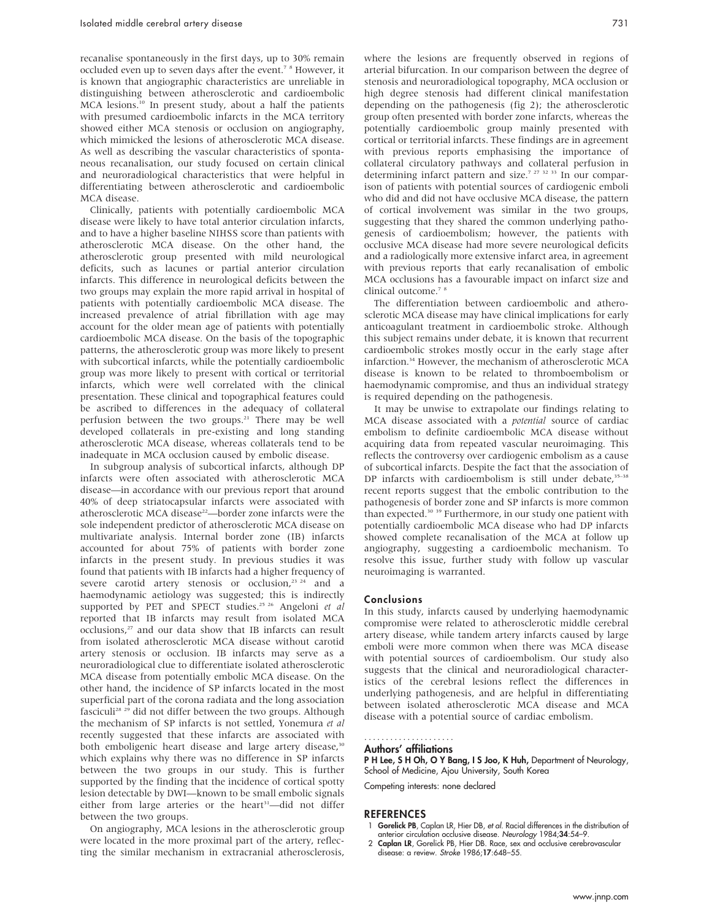recanalise spontaneously in the first days, up to 30% remain occluded even up to seven days after the event.<sup>7</sup> <sup>8</sup> However, it is known that angiographic characteristics are unreliable in distinguishing between atherosclerotic and cardioembolic MCA lesions.10 In present study, about a half the patients with presumed cardioembolic infarcts in the MCA territory showed either MCA stenosis or occlusion on angiography, which mimicked the lesions of atherosclerotic MCA disease. As well as describing the vascular characteristics of spontaneous recanalisation, our study focused on certain clinical and neuroradiological characteristics that were helpful in differentiating between atherosclerotic and cardioembolic MCA disease.

Clinically, patients with potentially cardioembolic MCA disease were likely to have total anterior circulation infarcts, and to have a higher baseline NIHSS score than patients with atherosclerotic MCA disease. On the other hand, the atherosclerotic group presented with mild neurological deficits, such as lacunes or partial anterior circulation infarcts. This difference in neurological deficits between the two groups may explain the more rapid arrival in hospital of patients with potentially cardioembolic MCA disease. The increased prevalence of atrial fibrillation with age may account for the older mean age of patients with potentially cardioembolic MCA disease. On the basis of the topographic patterns, the atherosclerotic group was more likely to present with subcortical infarcts, while the potentially cardioembolic group was more likely to present with cortical or territorial infarcts, which were well correlated with the clinical presentation. These clinical and topographical features could be ascribed to differences in the adequacy of collateral perfusion between the two groups.<sup>21</sup> There may be well developed collaterals in pre-existing and long standing atherosclerotic MCA disease, whereas collaterals tend to be inadequate in MCA occlusion caused by embolic disease.

In subgroup analysis of subcortical infarcts, although DP infarcts were often associated with atherosclerotic MCA disease—in accordance with our previous report that around 40% of deep striatocapsular infarcts were associated with atherosclerotic MCA disease<sup>22</sup>—border zone infarcts were the sole independent predictor of atherosclerotic MCA disease on multivariate analysis. Internal border zone (IB) infarcts accounted for about 75% of patients with border zone infarcts in the present study. In previous studies it was found that patients with IB infarcts had a higher frequency of severe carotid artery stenosis or occlusion,<sup>23 24</sup> and a haemodynamic aetiology was suggested; this is indirectly supported by PET and SPECT studies.<sup>25 26</sup> Angeloni et al reported that IB infarcts may result from isolated MCA occlusions,<sup>27</sup> and our data show that IB infarcts can result from isolated atherosclerotic MCA disease without carotid artery stenosis or occlusion. IB infarcts may serve as a neuroradiological clue to differentiate isolated atherosclerotic MCA disease from potentially embolic MCA disease. On the other hand, the incidence of SP infarcts located in the most superficial part of the corona radiata and the long association fasciculi28 29 did not differ between the two groups. Although the mechanism of SP infarcts is not settled, Yonemura et al recently suggested that these infarcts are associated with both emboligenic heart disease and large artery disease,<sup>30</sup> which explains why there was no difference in SP infarcts between the two groups in our study. This is further supported by the finding that the incidence of cortical spotty lesion detectable by DWI—known to be small embolic signals either from large arteries or the heart<sup>31</sup>-did not differ between the two groups.

On angiography, MCA lesions in the atherosclerotic group were located in the more proximal part of the artery, reflecting the similar mechanism in extracranial atherosclerosis, where the lesions are frequently observed in regions of arterial bifurcation. In our comparison between the degree of stenosis and neuroradiological topography, MCA occlusion or high degree stenosis had different clinical manifestation depending on the pathogenesis (fig 2); the atherosclerotic group often presented with border zone infarcts, whereas the potentially cardioembolic group mainly presented with cortical or territorial infarcts. These findings are in agreement with previous reports emphasising the importance of collateral circulatory pathways and collateral perfusion in determining infarct pattern and size.7 27 32 33 In our comparison of patients with potential sources of cardiogenic emboli who did and did not have occlusive MCA disease, the pattern of cortical involvement was similar in the two groups, suggesting that they shared the common underlying pathogenesis of cardioembolism; however, the patients with occlusive MCA disease had more severe neurological deficits and a radiologically more extensive infarct area, in agreement with previous reports that early recanalisation of embolic MCA occlusions has a favourable impact on infarct size and clinical outcome.<sup>78</sup>

The differentiation between cardioembolic and atherosclerotic MCA disease may have clinical implications for early anticoagulant treatment in cardioembolic stroke. Although this subject remains under debate, it is known that recurrent cardioembolic strokes mostly occur in the early stage after infarction.34 However, the mechanism of atherosclerotic MCA disease is known to be related to thromboembolism or haemodynamic compromise, and thus an individual strategy is required depending on the pathogenesis.

It may be unwise to extrapolate our findings relating to MCA disease associated with a potential source of cardiac embolism to definite cardioembolic MCA disease without acquiring data from repeated vascular neuroimaging. This reflects the controversy over cardiogenic embolism as a cause of subcortical infarcts. Despite the fact that the association of DP infarcts with cardioembolism is still under debate, $35-38$ recent reports suggest that the embolic contribution to the pathogenesis of border zone and SP infarcts is more common than expected.<sup>30</sup> <sup>39</sup> Furthermore, in our study one patient with potentially cardioembolic MCA disease who had DP infarcts showed complete recanalisation of the MCA at follow up angiography, suggesting a cardioembolic mechanism. To resolve this issue, further study with follow up vascular neuroimaging is warranted.

#### Conclusions

In this study, infarcts caused by underlying haemodynamic compromise were related to atherosclerotic middle cerebral artery disease, while tandem artery infarcts caused by large emboli were more common when there was MCA disease with potential sources of cardioembolism. Our study also suggests that the clinical and neuroradiological characteristics of the cerebral lesions reflect the differences in underlying pathogenesis, and are helpful in differentiating between isolated atherosclerotic MCA disease and MCA disease with a potential source of cardiac embolism.

#### .....................

Authors' affiliations

P H Lee, S H Oh, O Y Bang, I S Joo, K Huh, Department of Neurology, School of Medicine, Ajou University, South Korea

Competing interests: none declared

### **REFERENCES**

- 1 Gorelick PB, Caplan LR, Hier DB, et al. Racial differences in the distribution of anterior circulation occlusive disease. Neurology 1984;34:54–9.
- 2 Caplan LR, Gorelick PB, Hier DB. Race, sex and occlusive cerebrovascular disease: a review. Stroke 1986;17:648–55.